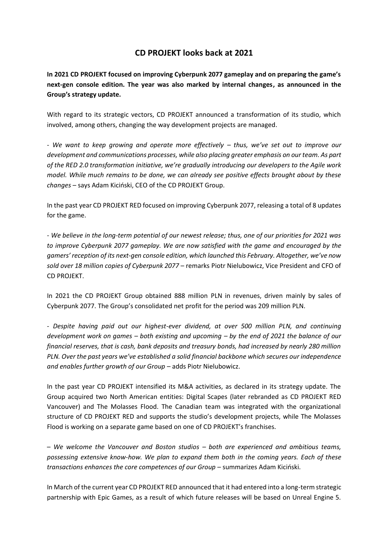## **CD PROJEKT looks back at 2021**

**In 2021 CD PROJEKT focused on improving Cyberpunk 2077 gameplay and on preparing the game's next-gen console edition. The year was also marked by internal changes, as announced in the Group's strategy update.**

With regard to its strategic vectors, CD PROJEKT announced a transformation of its studio, which involved, among others, changing the way development projects are managed.

- *We want to keep growing and operate more effectively – thus, we've set out to improve our development and communications processes, while also placing greater emphasis on our team. As part of the RED 2.0 transformation initiative, we're gradually introducing our developers to the Agile work model. While much remains to be done, we can already see positive effects brought about by these changes* – says Adam Kiciński, CEO of the CD PROJEKT Group.

In the past year CD PROJEKT RED focused on improving Cyberpunk 2077, releasing a total of 8 updates for the game.

- *We believe in the long-term potential of our newest release; thus, one of our priorities for 2021 was to improve Cyberpunk 2077 gameplay. We are now satisfied with the game and encouraged by the gamers' reception of its next-gen console edition, which launched this February. Altogether, we've now sold over 18 million copies of Cyberpunk 2077* – remarks Piotr Nielubowicz, Vice President and CFO of CD PROJEKT.

In 2021 the CD PROJEKT Group obtained 888 million PLN in revenues, driven mainly by sales of Cyberpunk 2077. The Group's consolidated net profit for the period was 209 million PLN.

- *Despite having paid out our highest-ever dividend, at over 500 million PLN, and continuing development work on games – both existing and upcoming – by the end of 2021 the balance of our financial reserves, that is cash, bank deposits and treasury bonds, had increased by nearly 280 million PLN. Over the past years we've established a solid financial backbone which secures our independence*  and enables further growth of our Group - adds Piotr Nielubowicz.

In the past year CD PROJEKT intensified its M&A activities, as declared in its strategy update. The Group acquired two North American entities: Digital Scapes (later rebranded as CD PROJEKT RED Vancouver) and The Molasses Flood. The Canadian team was integrated with the organizational structure of CD PROJEKT RED and supports the studio's development projects, while The Molasses Flood is working on a separate game based on one of CD PROJEKT's franchises.

– *We welcome the Vancouver and Boston studios – both are experienced and ambitious teams, possessing extensive know-how. We plan to expand them both in the coming years. Each of these transactions enhances the core competences of our Group* – summarizes Adam Kiciński.

In March of the current year CD PROJEKT RED announced that it had entered into a long-term strategic partnership with Epic Games, as a result of which future releases will be based on Unreal Engine 5.